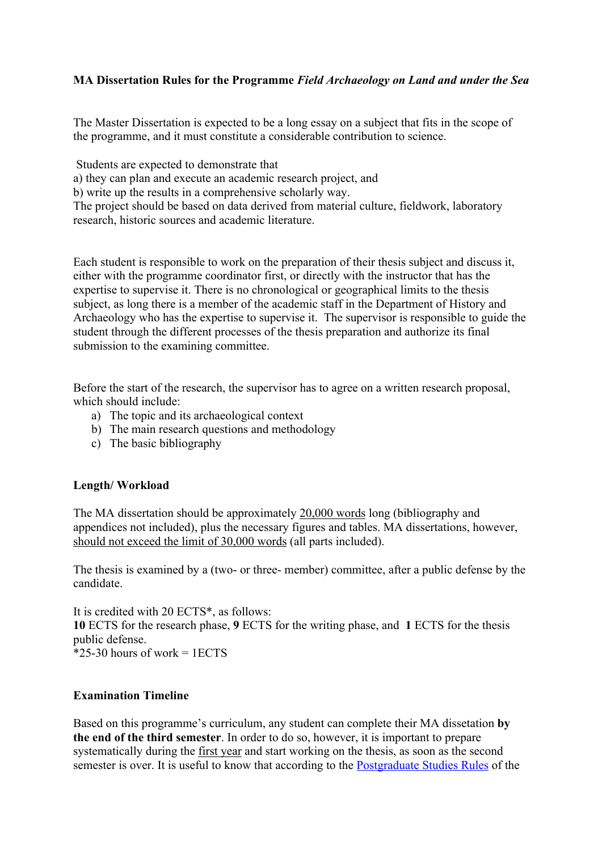## **MA Dissertation Rules for the Programme** *Field Archaeology on Land and under the Sea*

The Master Dissertation is expected to be a long essay on a subject that fits in the scope of the programme, and it must constitute a considerable contribution to science.

Students are expected to demonstrate that

a) they can plan and execute an academic research project, and

b) write up the results in a comprehensive scholarly way.

The project should be based on data derived from material culture, fieldwork, laboratory research, historic sources and academic literature.

Each student is responsible to work on the preparation of their thesis subject and discuss it, either with the programme coordinator first, or directly with the instructor that has the expertise to supervise it. There is no chronological or geographical limits to the thesis subject, as long there is a member of the academic staff in the Department of History and Archaeology who has the expertise to supervise it. The supervisor is responsible to guide the student through the different processes of the thesis preparation and authorize its final submission to the examining committee.

Before the start of the research, the supervisor has to agree on a written research proposal, which should include:

- a) The topic and its archaeological context
- b) The main research questions and methodology
- c) The basic bibliography

## **Length/ Workload**

The MA dissertation should be approximately 20,000 words long (bibliography and appendices not included), plus the necessary figures and tables. MA dissertations, however, should not exceed the limit of 30,000 words (all parts included).

The thesis is examined by a (two- or three- member) committee, after a public defense by the candidate.

It is credited with 20 ECTS\*, as follows: **10** ΕCTS for the research phase, **9** ΕCTS for the writing phase, and **1** ΕCTS for the thesis public defense.  $*25-30$  hours of work = 1ECTS

## **Examination Timeline**

Based on this programme's curriculum, any student can complete their MA dissetation **by the end of the third semester**. In order to do so, however, it is important to prepare systematically during the first year and start working on the thesis, as soon as the second semester is over. It is useful to know that according to the Postgraduate Studies Rules of the